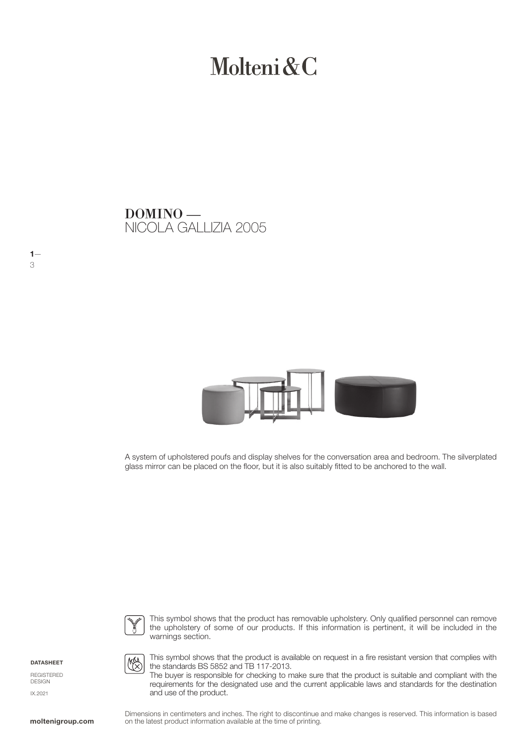# Molteni & C

NICOLA GALLIZIA 2005 DOMINO —



A system of upholstered poufs and display shelves for the conversation area and bedroom. The silverplated glass mirror can be placed on the floor, but it is also suitably fitted to be anchored to the wall.



This symbol shows that the product has removable upholstery. Only qualified personnel can remove the upholstery of some of our products. If this information is pertinent, it will be included in the warnings section.

DATASHEET

 $1-$ 

3

REGISTERED **DESIGN** IX.2021



This symbol shows that the product is available on request in a fire resistant version that complies with the standards BS 5852 and TB 117-2013.

The buyer is responsible for checking to make sure that the product is suitable and compliant with the requirements for the designated use and the current applicable laws and standards for the destination and use of the product.

Dimensions in centimeters and inches. The right to discontinue and make changes is reserved. This information is based **moltenigroup.com** on the latest product information available at the time of printing.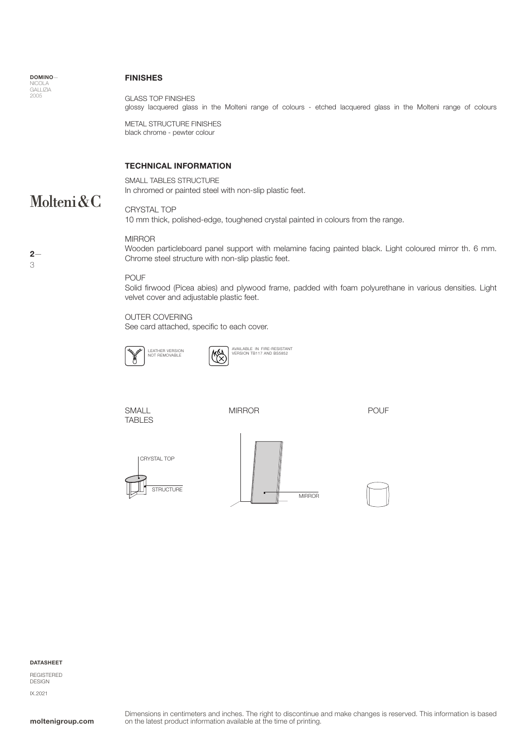DOMINO— NICOLA GALLIZIA 2005

### FINISHES

GLASS TOP FINISHES glossy lacquered glass in the Molteni range of colours - etched lacquered glass in the Molteni range of colours

METAL STRUCTURE FINISHES black chrome - pewter colour

# TECHNICAL INFORMATION

#### SMALL TABLES STRUCTURE

In chromed or painted steel with non-slip plastic feet.

#### CRYSTAL TOP

10 mm thick, polished-edge, toughened crystal painted in colours from the range.

#### MIRROR

Wooden particleboard panel support with melamine facing painted black. Light coloured mirror th. 6 mm. Chrome steel structure with non-slip plastic feet.

#### POUF

Solid firwood (Picea abies) and plywood frame, padded with foam polyurethane in various densities. Light velvet cover and adjustable plastic feet.

#### OUTER COVERING

See card attached, specific to each cover.





LEATHER VERSION  $\left(\bigwedge_{N \in \mathbb{N}} \mathbb{A}\right)$  available in Fire-Resistant

SMALL TABLES MIRROR POUF







#### DATASHEET

REGISTERED DESIGN IX.2021

 $2-$ 3

Molteni&C